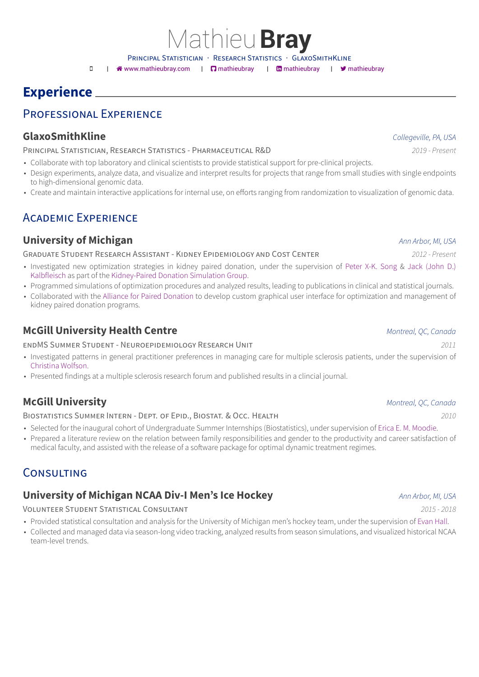Mathieu**Bray**

PRINCIPAL STATISTICIAN · RESEARCH STATISTICS · GLAXOSMITHKLINE

□ | ※ www.mathieubray.com | □ mathieubray | □ mathieubray | ■ mathieubray

# **Experience**

#### PROFESSIONAL EX[PERIENCE](http://www.mathieubray.com)

#### **GlaxoSmithKline** *Collegeville, PA, USA*

#### PRINCIPAL STATISTICIAN, RESEARCH STATISTICS - PHARMACEUTICAL R&D *2019 - Present*

- Collaborate with top laboratory and clinical scientists to provide statistical support for pre-clinical projects.
- Design experiments, analyze data, and visualize and interpret results for projects that range from small studies with single endpoints to high-dimensional genomic data.
- Create and maintain interactive applications for internal use, on efforts ranging from randomization to visualization of genomic data.

## ACADEMIC EXPERIENCE

#### **University of Michigan** *Ann Arbor, MI, USA*

#### GRADUATE STUDENT RESEARCH ASSISTANT - KIDNEY EPIDEMIOLOGY AND COST CENTER *2012 - Present*

- Investigated new optimization strategies in kidney paired donation, under the supervision of Peter X-K. Song & Jack (John D.) Kalbfleisch as part of the Kidney-Paired Donation Simulation Group.
- Programmed simulations of optimization procedures and analyzed results, leading to publications in clinical and statistical journals.
- Collaborated with the Alliance for Paired Donation to develop custom graphical user interface for optimization and management of kidney paired donation programs.

### **McGill Universit[y Health Centre](https://paireddonation.org/)** *Montreal, QC, Canada*

#### ENDMS SUMMER STUDENT - NEUROEPIDEMIOLOGY RESEARCH UNIT *2011*

- Investigated patterns in general practitioner preferences in managing care for multiple sclerosis patients, under the supervision of Christina Wolfson.
- Presented findings at a multiple sclerosis research forum and published results in a clincial journal.

### **[McGill Univer](http://rimuhc.ca/web/research-institute-muhc/-/christina-wolfson-phd)sity** *Montreal, QC, Canada*

#### BIOSTATISTICS SUMMER INTERN - DEPT. OF EPID., BIOSTAT. & OCC. HEALTH *2010*

- Selected for the inaugural cohort of Undergraduate Summer Internships (Biostatistics), under supervision of Erica E. M. Moodie.
- Prepared a literature review on the relation between family responsibilities and gender to the productivity and career satisfaction of medical faculty, and assisted with the release of a software package for optimal dynamic treatment regimes.

## CONSULTING

### **University of Michigan NCAA Div-I Men's Ice Hockey** *Ann Arbor, MI, USA*

#### VOLUNTEER STUDENT STATISTICAL CONSULTANT *2015 - 2018*

- Provided statistical consultation and analysis for the University of Michigan men's hockey team, under the supervision of Evan Hall.
- Collected and managed data via season-long video tracking, analyzed results from season simulations, and visualized historical NCAA team-level trends.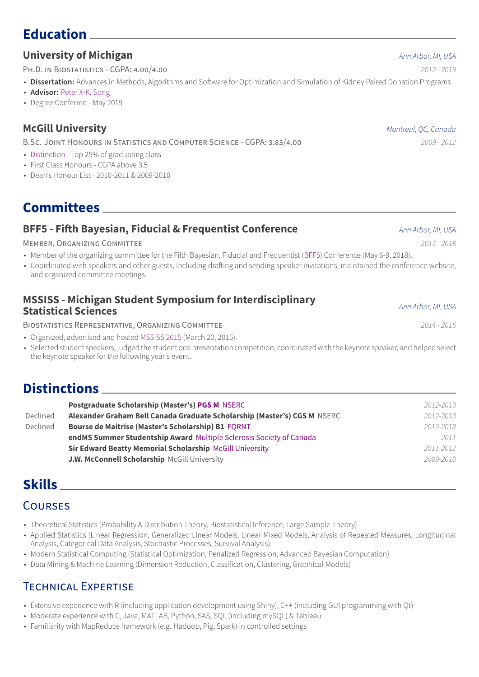#### **University of Michigan** *Ann Arbor, MI, USA*

PH.D. IN BIOSTATISTICS - CGPA: 4.00/4.00 *2012 - 2019*

- **Dissertation:** Advances in Methods, Algorithms and Software for Optimization and Simulation of Kidney Paired Donation Programs
- **Advisor:** Peter X-K. Song
- Degree Conferred May 2019

#### **McGill [University](http://www.umich.edu/~songlab/)** *Montreal, QC, Canada*

B.SC. JOINT HONOURS IN STATISTICS AND COMPUTER SCIENCE - CGPA: 3.83/4.00 *2009 - 2012*

- Distinction Top 25% of graduating class
- First Class Honours CGPA above 3.5
- Dean's Honour List 2010-2011 & 2009-2010

**Committees**

### **BFF5 - Fifth Bayesian, Fiducial & Frequentist Conference** *Ann Arbor, MI, USA*

#### MEMBER, ORGANIZING COMMITTEE *2017 - 2018*

- Member of the organizing committee for the Fifth Bayesian, Fiducial and Frequentist (BFF5) Conference (May 6-9, 2018).
- Coordinated with speakers and other guests, including drafting and sending speaker invitations, maintained the conference website, and organized committee meetings.

| <b>MSSISS - Michigan Student Symposium for Interdisciplinary</b><br><b>Statistical Sciences</b> | Ann Arbor, MI, USA |
|-------------------------------------------------------------------------------------------------|--------------------|
|-------------------------------------------------------------------------------------------------|--------------------|

BIOSTATISTICS REPRESENTATIVE, ORGANIZING COMMITTEE *2014 - 2015*

- Organized, advertised and hosted MSSISS 2015 (March 20, 2015).
- Selected student speakers, judged the student oral presentation competition, coordinated with the keynote speaker, and helped select the keynote speaker for the following year's event.

# **Distinctions**

|          | <b>Postgraduate Scholarship (Master's) PGS M NSERC</b>                   | 2012-2013 |
|----------|--------------------------------------------------------------------------|-----------|
| Declined | Alexander Graham Bell Canada Graduate Scholarship (Master's) CGS M NSERC | 2012-2013 |
| Declined | Bourse de Maitrise (Master's Scholarship) B1 FORNT                       | 2012-2013 |
|          | endMS Summer Studentship Award Multiple Sclerosis Society of Canada      | 2011      |
|          | Sir Edward Beatty Memorial Scholarship McGill University                 | 2011-2012 |
|          | <b>J.W. McConnell Scholarship McGill University</b>                      | 2009-2010 |

# **Skills**

## **COURSES**

- Theoretical Statistics (Probability & Distribution Theory, Biostatistical Inference, Large Sample Theory)
- Applied Statistics (Linear Regression, Generalized Linear Models, Linear Mixed Models, Analysis of Repeated Measures, Longitudinal Analysis, Categorical Data Analysis, Stochastic Processes, Survival Analysis)
- Modern Statistical Computing (Statistical Optimization, Penalized Regression, Advanced Bayesian Computation)
- Data Mining & Machine Learning (Dimension Reduction, Classification, Clustering, Graphical Models)

## TECHNICAL EXPERTISE

- Extensive experience with R (including application development using Shiny), C++ (including GUI programming with Qt)
- Moderate experience with C, Java, MATLAB, Python, SAS, SQL (including mySQL) & Tableau
- Familiarity with MapReduce framework (e.g. Hadoop, Pig, Spark) in controlled settings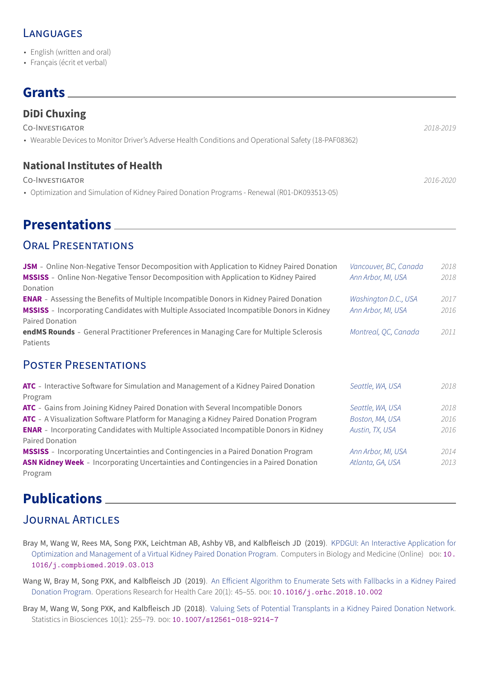- English (written and oral)
- Français (écrit et verbal)

# **Grants**

| <b>DiDi Chuxing</b>                                                                                                                                     |           |
|---------------------------------------------------------------------------------------------------------------------------------------------------------|-----------|
| CO-INVESTIGATOR                                                                                                                                         | 2018-2019 |
| • Wearable Devices to Monitor Driver's Adverse Health Conditions and Operational Safety (18-PAF08362)                                                   |           |
| <b>National Institutes of Health</b><br>CO-INVESTIGATOR<br>• Optimization and Simulation of Kidney Paired Donation Programs - Renewal (R01-DK093513-05) | 2016-2020 |

# **Presentations**

## ORAL PRESENTATIONS

| <b>JSM</b> - Online Non-Negative Tensor Decomposition with Application to Kidney Paired Donation<br><b>MSSISS</b> - Online Non-Negative Tensor Decomposition with Application to Kidney Paired<br>Donation                  | Vancouver, BC, Canada<br>Ann Arbor, MI, USA | 2018<br>2018 |
|-----------------------------------------------------------------------------------------------------------------------------------------------------------------------------------------------------------------------------|---------------------------------------------|--------------|
| <b>ENAR</b> - Assessing the Benefits of Multiple Incompatible Donors in Kidney Paired Donation<br><b>MSSISS</b> - Incorporating Candidates with Multiple Associated Incompatible Donors in Kidney<br><b>Paired Donation</b> | Washington D.C., USA<br>Ann Arbor, MI, USA  | 2017<br>2016 |
| endMS Rounds - General Practitioner Preferences in Managing Care for Multiple Sclerosis<br>Patients                                                                                                                         | Montreal, QC, Canada                        | 2011         |
| <b>POSTER PRESENTATIONS</b>                                                                                                                                                                                                 |                                             |              |
| ATC - Interactive Software for Simulation and Management of a Kidney Paired Donation<br>Program                                                                                                                             | Seattle, WA, USA                            | 2018         |
| <b>ATC</b> - Gains from Joining Kidney Paired Donation with Several Incompatible Donors                                                                                                                                     | Seattle, WA, USA                            | 2018         |
| <b>ATC</b> - A Visualization Software Platform for Managing a Kidney Paired Donation Program                                                                                                                                | Boston, MA, USA                             | 2016         |
| <b>ENAR</b> - Incorporating Candidates with Multiple Associated Incompatible Donors in Kidney<br><b>Paired Donation</b>                                                                                                     | Austin, TX, USA                             | 2016         |
| <b>MSSISS</b> - Incorporating Uncertainties and Contingencies in a Paired Donation Program                                                                                                                                  | Ann Arbor, MI, USA                          | 2014         |

**[ASN](http://atcmeetingabstracts.com/meetings/2016-american-transplant-congress/) Kidney Week** - Incorporating Uncertainties and Contingencies in a Paired Donation *Atlanta, GA, USA 2013* [Progra](https://www.enar.org/meetings/spring2016/index.cfm)m

# **[Publicatio](https://www.asn-online.org/education/kidneyweek/2013/)ns**

## JOURNAL ARTICLES

- Bray M, Wang W, Rees MA, Song PXK, Leichtman AB, Ashby VB, and Kalbfleisch JD (2019). KPDGUI: An Interactive Application for Optimization and Management of a Virtual Kidney Paired Donation Program. Computers in Biology and Medicine (Online) DOI: 10. 1016/j.compbiomed.2019.03.013
- Wang W, Bray M, Song PXK, and Kalbfleisch JD (2019). An Efficient Algorithm to Enumerate Sets with Fallbacks in a Kidney Paired Donation Program. Operations Research for Health Care 20(1): 45–55. DOI: 10.1016/j.orhc.2018.10.002
- Br[ay M, Wang W, Song PXK, and Kalbfle](https://doi.org/10.1016/j.compbiomed.2019.03.013)isch JD (2018). Valuing Sets of Potential Transplants in a Kidney Paired Donation Network. Statistics in Biosciences 10(1): 255-79. pol: 10.1007/s12561-018-9214-7